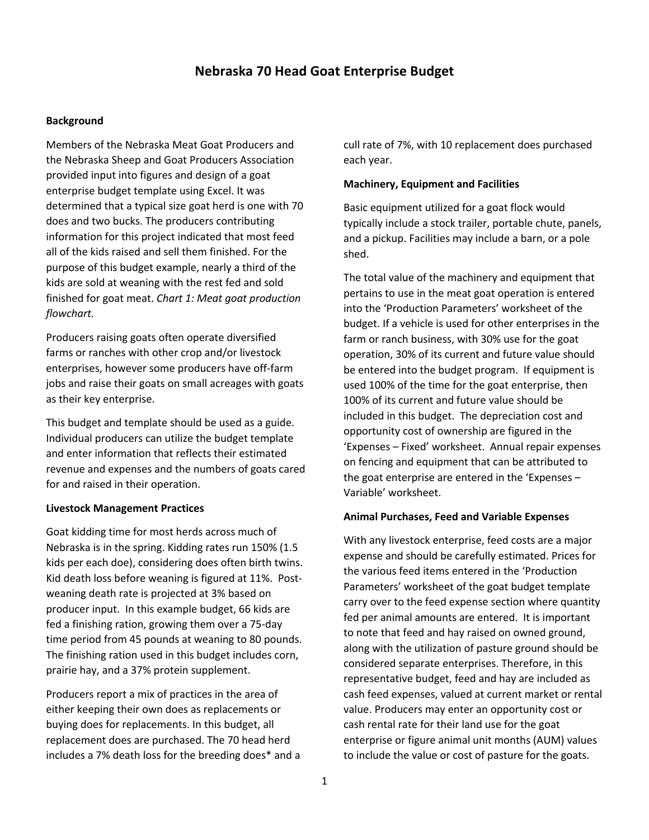# **Nebraska 70 Head Goat Enterprise Budget**

## **Background**

Members of the Nebraska Meat Goat Producers and the Nebraska Sheep and Goat Producers Association provided input into figures and design of a goat enterprise budget template using Excel. It was determined that a typical size goat herd is one with 70 does and two bucks. The producers contributing information for this project indicated that most feed all of the kids raised and sell them finished. For the purpose of this budget example, nearly a third of the kids are sold at weaning with the rest fed and sold finished for goat meat. *Chart 1: Meat goat production flowchart.* 

Producers raising goats often operate diversified farms or ranches with other crop and/or livestock enterprises, however some producers have off-farm jobs and raise their goats on small acreages with goats as their key enterprise.

This budget and template should be used as a guide. Individual producers can utilize the budget template and enter information that reflects their estimated revenue and expenses and the numbers of goats cared for and raised in their operation.

## **Livestock Management Practices**

Goat kidding time for most herds across much of Nebraska is in the spring. Kidding rates run 150% (1.5 kids per each doe), considering does often birth twins. Kid death loss before weaning is figured at 11%. Postweaning death rate is projected at 3% based on producer input. In this example budget, 66 kids are fed a finishing ration, growing them over a 75-day time period from 45 pounds at weaning to 80 pounds. The finishing ration used in this budget includes corn, prairie hay, and a 37% protein supplement.

Producers report a mix of practices in the area of either keeping their own does as replacements or buying does for replacements. In this budget, all replacement does are purchased. The 70 head herd includes a 7% death loss for the breeding does\* and a cull rate of 7%, with 10 replacement does purchased each year.

#### **Machinery, Equipment and Facilities**

Basic equipment utilized for a goat flock would typically include a stock trailer, portable chute, panels, and a pickup. Facilities may include a barn, or a pole shed.

The total value of the machinery and equipment that pertains to use in the meat goat operation is entered into the 'Production Parameters' worksheet of the budget. If a vehicle is used for other enterprises in the farm or ranch business, with 30% use for the goat operation, 30% of its current and future value should be entered into the budget program. If equipment is used 100% of the time for the goat enterprise, then 100% of its current and future value should be included in this budget. The depreciation cost and opportunity cost of ownership are figured in the 'Expenses – Fixed' worksheet. Annual repair expenses on fencing and equipment that can be attributed to the goat enterprise are entered in the 'Expenses – Variable' worksheet.

#### **Animal Purchases, Feed and Variable Expenses**

With any livestock enterprise, feed costs are a major expense and should be carefully estimated. Prices for the various feed items entered in the 'Production Parameters' worksheet of the goat budget template carry over to the feed expense section where quantity fed per animal amounts are entered. It is important to note that feed and hay raised on owned ground, along with the utilization of pasture ground should be considered separate enterprises. Therefore, in this representative budget, feed and hay are included as cash feed expenses, valued at current market or rental value. Producers may enter an opportunity cost or cash rental rate for their land use for the goat enterprise or figure animal unit months (AUM) values to include the value or cost of pasture for the goats.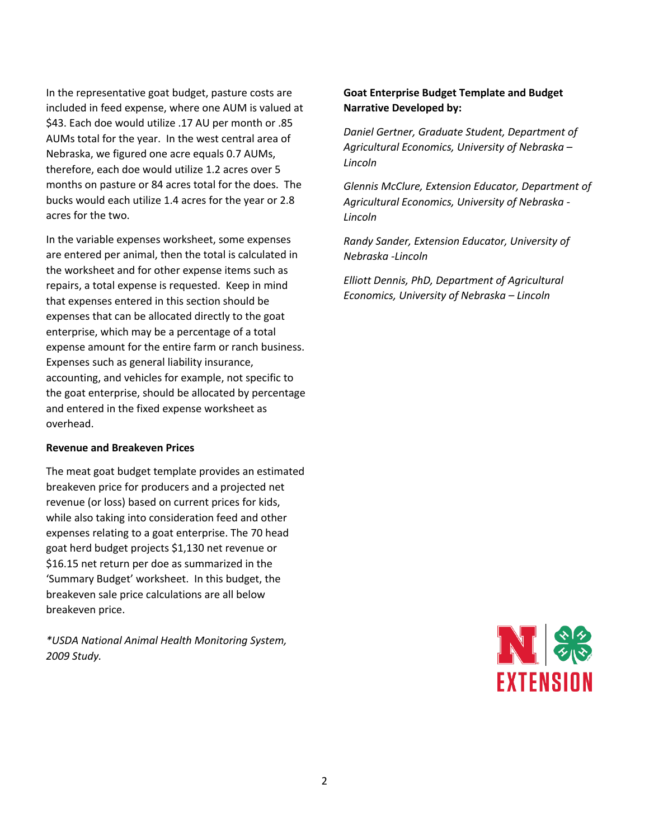In the representative goat budget, pasture costs are included in feed expense, where one AUM is valued at \$43. Each doe would utilize .17 AU per month or .85 AUMs total for the year. In the west central area of Nebraska, we figured one acre equals 0.7 AUMs, therefore, each doe would utilize 1.2 acres over 5 months on pasture or 84 acres total for the does. The bucks would each utilize 1.4 acres for the year or 2.8 acres for the two.

In the variable expenses worksheet, some expenses are entered per animal, then the total is calculated in the worksheet and for other expense items such as repairs, a total expense is requested. Keep in mind that expenses entered in this section should be expenses that can be allocated directly to the goat enterprise, which may be a percentage of a total expense amount for the entire farm or ranch business. Expenses such as general liability insurance, accounting, and vehicles for example, not specific to the goat enterprise, should be allocated by percentage and entered in the fixed expense worksheet as overhead.

### **Revenue and Breakeven Prices**

The meat goat budget template provides an estimated breakeven price for producers and a projected net revenue (or loss) based on current prices for kids, while also taking into consideration feed and other expenses relating to a goat enterprise. The 70 head goat herd budget projects \$1,130 net revenue or \$16.15 net return per doe as summarized in the 'Summary Budget' worksheet. In this budget, the breakeven sale price calculations are all below breakeven price.

*\*USDA National Animal Health Monitoring System, 2009 Study.* 

## **Goat Enterprise Budget Template and Budget Narrative Developed by:**

*Daniel Gertner, Graduate Student, Department of Agricultural Economics, University of Nebraska – Lincoln*

*Glennis McClure, Extension Educator, Department of Agricultural Economics, University of Nebraska - Lincoln*

*Randy Sander, Extension Educator, University of Nebraska -Lincoln*

*Elliott Dennis, PhD, Department of Agricultural Economics, University of Nebraska – Lincoln*